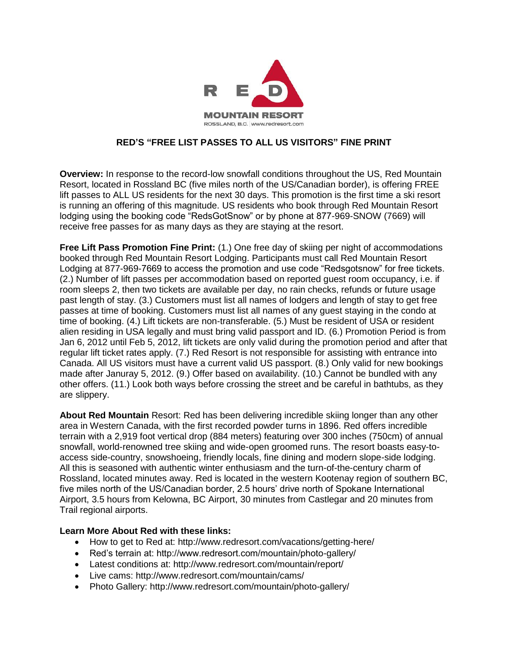

## **RED'S "FREE LIST PASSES TO ALL US VISITORS" FINE PRINT**

**Overview:** In response to the record-low snowfall conditions throughout the US, Red Mountain Resort, located in Rossland BC (five miles north of the US/Canadian border), is offering FREE lift passes to ALL US residents for the next 30 days. This promotion is the first time a ski resort is running an offering of this magnitude. US residents who book through Red Mountain Resort lodging using the booking code "RedsGotSnow" or by phone at 877-969-SNOW (7669) will receive free passes for as many days as they are staying at the resort.

**Free Lift Pass Promotion Fine Print:** (1.) One free day of skiing per night of accommodations booked through Red Mountain Resort Lodging. Participants must call Red Mountain Resort Lodging at 877-969-7669 to access the promotion and use code "Redsgotsnow" for free tickets. (2.) Number of lift passes per accommodation based on reported guest room occupancy, i.e. if room sleeps 2, then two tickets are available per day, no rain checks, refunds or future usage past length of stay. (3.) Customers must list all names of lodgers and length of stay to get free passes at time of booking. Customers must list all names of any guest staying in the condo at time of booking. (4.) Lift tickets are non-transferable. (5.) Must be resident of USA or resident alien residing in USA legally and must bring valid passport and ID. (6.) Promotion Period is from Jan 6, 2012 until Feb 5, 2012, lift tickets are only valid during the promotion period and after that regular lift ticket rates apply. (7.) Red Resort is not responsible for assisting with entrance into Canada. All US visitors must have a current valid US passport. (8.) Only valid for new bookings made after Januray 5, 2012. (9.) Offer based on availability. (10.) Cannot be bundled with any other offers. (11.) Look both ways before crossing the street and be careful in bathtubs, as they are slippery.

**About Red Mountain** Resort: Red has been delivering incredible skiing longer than any other area in Western Canada, with the first recorded powder turns in 1896. Red offers incredible terrain with a 2,919 foot vertical drop (884 meters) featuring over 300 inches (750cm) of annual snowfall, world-renowned tree skiing and wide-open groomed runs. The resort boasts easy-toaccess side-country, snowshoeing, friendly locals, fine dining and modern slope-side lodging. All this is seasoned with authentic winter enthusiasm and the turn-of-the-century charm of Rossland, located minutes away. Red is located in the western Kootenay region of southern BC, five miles north of the US/Canadian border, 2.5 hours' drive north of Spokane International Airport, 3.5 hours from Kelowna, BC Airport, 30 minutes from Castlegar and 20 minutes from Trail regional airports.

## **Learn More About Red with these links:**

- How to get to Red at: http://www.redresort.com/vacations/getting-here/
- Red's terrain at: http://www.redresort.com/mountain/photo-gallery/
- Latest conditions at: http://www.redresort.com/mountain/report/
- Live cams: http://www.redresort.com/mountain/cams/
- Photo Gallery: http://www.redresort.com/mountain/photo-gallery/